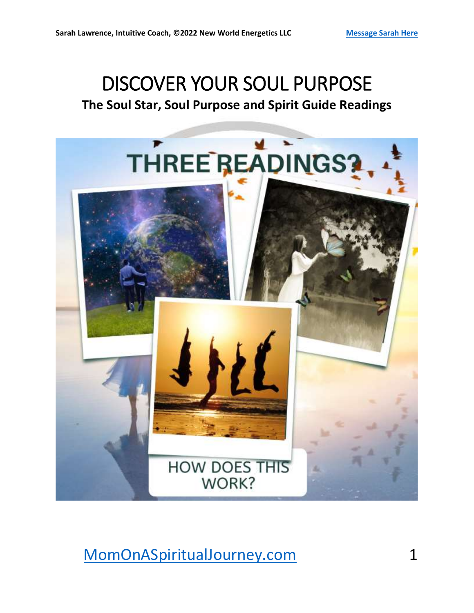## DISCOVER YOUR SOUL PURPOSE **The Soul Star, Soul Purpose and Spirit Guide Readings**

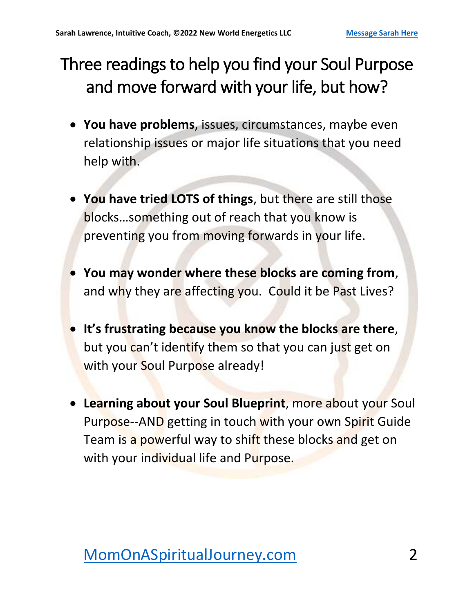## Three readings to help you find your Soul Purpose and move forward with your life, but how?

- **You have problems**, issues, circumstances, maybe even relationship issues or major life situations that you need help with.
- **You have tried LOTS of things**, but there are still those blocks…something out of reach that you know is preventing you from moving forwards in your life.
- **You may wonder where these blocks are coming from**, and why they are affecting you. Could it be Past Lives?
- **It's frustrating because you know the blocks are there**, but you can't identify them so that you can just get on with your Soul Purpose already!
- **Learning about your Soul Blueprint**, more about your Soul Purpose--AND getting in touch with your own Spirit Guide Team is a powerful way to shift these blocks and get on with your individual life and Purpose.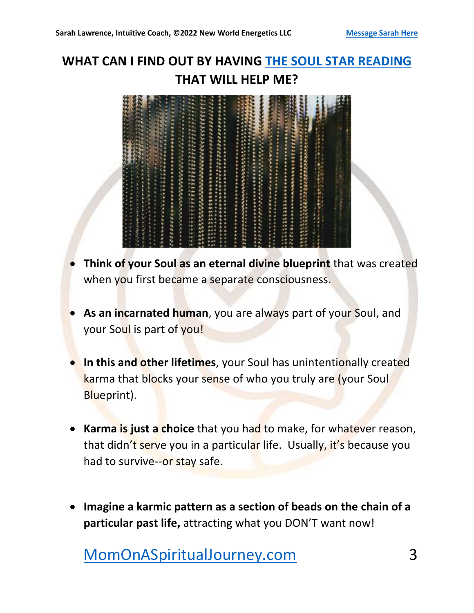### **WHAT CAN I FIND OUT BY HAVING [THE SOUL STAR READING](https://momonaspiritualjourney.com/soul-star-akashic-reading/) THAT WILL HELP ME?**

| <b>225555555</b><br><b>CREEFEE</b>          |                                                                                                                     |
|---------------------------------------------|---------------------------------------------------------------------------------------------------------------------|
| ""你们你们你你们们还能成为当天来来自我<br>医生长生长性白喉病毒 人名<br>i, | <b>地方的过去式和过去分词使用的</b><br>1999年1999年19月19日<br>Service of the Service<br>š<br>i<br><br>$\ddot{\phantom{a}}$<br>ŧ<br>Ē |
| いんかんかん あいしゅう あいかん アンドライブ・フィッシュ              |                                                                                                                     |
| 12月11日 经现金票<br>1. 1. 1. 1. 1. 1. 1. 1       | <b>HITTEL</b><br>22                                                                                                 |

- **Think of your Soul as an eternal divine blueprint** that was created when you first became a separate consciousness.
- **As an incarnated human**, you are always part of your Soul, and your Soul is part of you!
- **In this and other lifetimes**, your Soul has unintentionally created karma that blocks your sense of who you truly are (your Soul Blueprint).
- **Karma is just a choice** that you had to make, for whatever reason, that didn't serve you in a particular life. Usually, it's because you had to survive--or stay safe.
- **Imagine a karmic pattern as a section of beads on the chain of a particular past life,** attracting what you DON'T want now!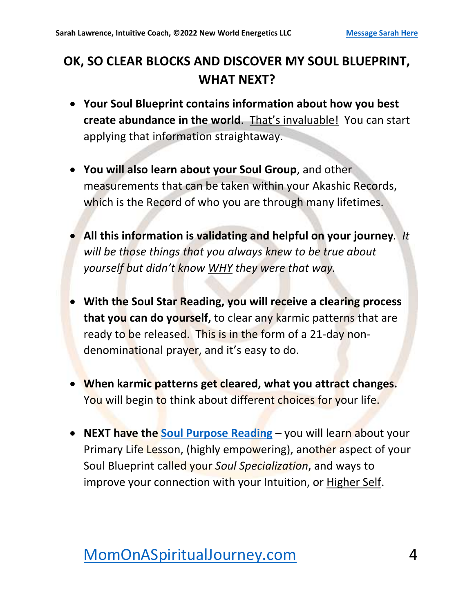#### **OK, SO CLEAR BLOCKS AND DISCOVER MY SOUL BLUEPRINT, WHAT NEXT?**

- **Your Soul Blueprint contains information about how you best create abundance in the world**. That's invaluable! You can start applying that information straightaway.
- **You will also learn about your Soul Group**, and other measurements that can be taken within your Akashic Records, which is the Record of who you are through many lifetimes.
- **All this information is validating and helpful on your journey***. It will be those things that you always knew to be true about yourself but didn't know WHY they were that way.*
- **With the Soul Star Reading, you will receive a clearing process that you can do yourself,** to clear any karmic patterns that are ready to be released. This is in the form of a 21-day nondenominational prayer, and it's easy to do.
- **When karmic patterns get cleared, what you attract changes.** You will begin to think about different choices for your life.
- **NEXT have the [Soul Purpose Reading](https://momonaspiritualjourney.com/soul-purpose-readings/) –** you will learn about your Primary Life Lesson, (highly empowering), another aspect of your Soul Blueprint called your *Soul Specialization*, and ways to improve your connection with your Intuition, or Higher Self.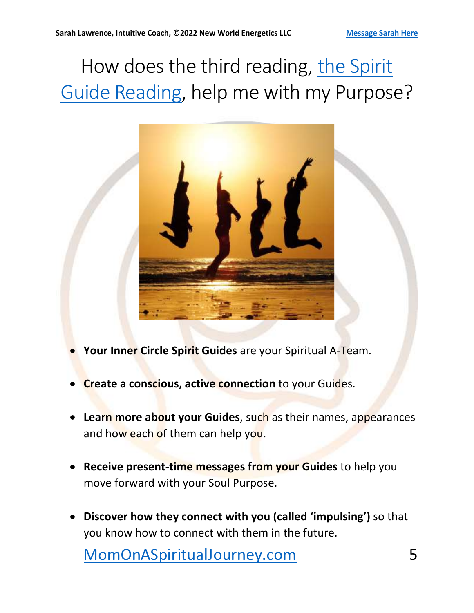# How does the third reading, the Spirit Guide [Reading,](https://momonaspiritualjourney.com/spirit-guide-reading/) help me with my Purpose?



- **Your Inner Circle Spirit Guides** are your Spiritual A-Team.
- **Create a conscious, active connection** to your Guides.
- **Learn more about your Guides**, such as their names, appearances and how each of them can help you.
- **Receive present-time messages from your Guides** to help you move forward with your Soul Purpose.
- **Discover how they connect with you (called 'impulsing')** so that you know how to connect with them in the future.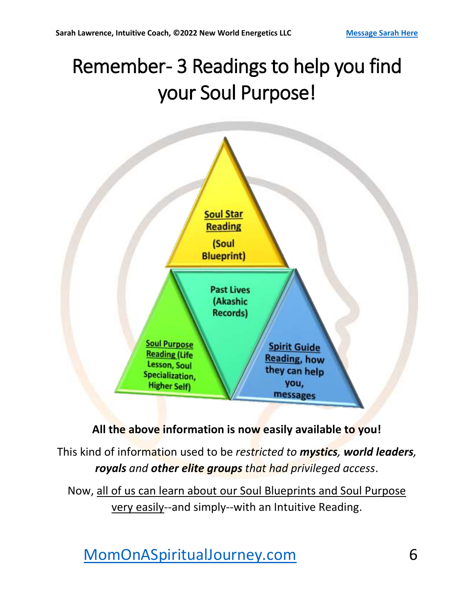# Remember- 3 Readings to help you find your Soul Purpose!



#### **All the above information is now easily available to you!**

This kind of information used to be *restricted to mystics, world leaders, royals and other elite groups that had privileged access*.

Now, all of us can learn about our Soul Blueprints and Soul Purpose very easily--and simply--with an Intuitive Reading.